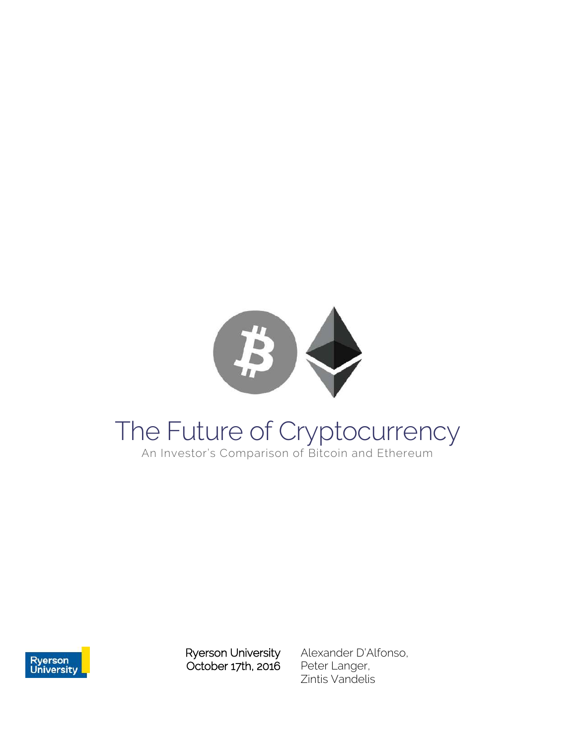

# The Future of Cryptocurrency

An Investor's Comparison of Bitcoin and Ethereum



Ryerson University October 17th, 2016 Alexander D'Alfonso, Peter Langer, Zintis Vandelis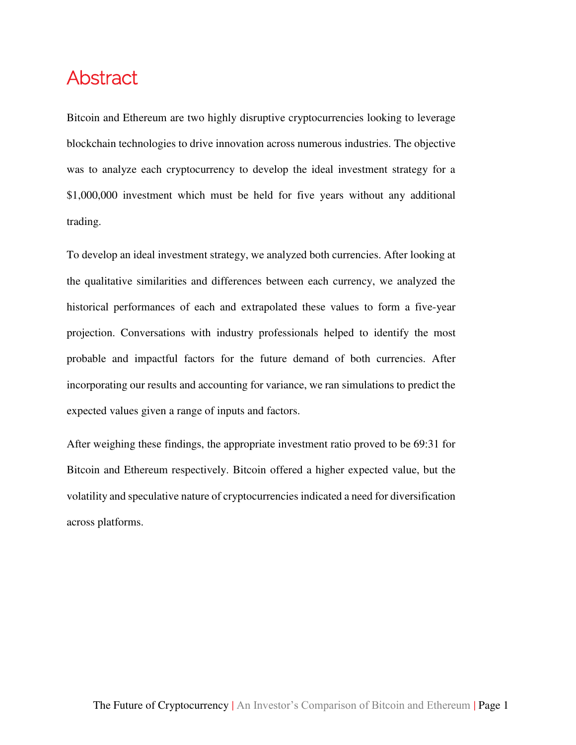# <span id="page-1-0"></span>Abstract

Bitcoin and Ethereum are two highly disruptive cryptocurrencies looking to leverage blockchain technologies to drive innovation across numerous industries. The objective was to analyze each cryptocurrency to develop the ideal investment strategy for a \$1,000,000 investment which must be held for five years without any additional trading.

To develop an ideal investment strategy, we analyzed both currencies. After looking at the qualitative similarities and differences between each currency, we analyzed the historical performances of each and extrapolated these values to form a five-year projection. Conversations with industry professionals helped to identify the most probable and impactful factors for the future demand of both currencies. After incorporating our results and accounting for variance, we ran simulations to predict the expected values given a range of inputs and factors.

After weighing these findings, the appropriate investment ratio proved to be 69:31 for Bitcoin and Ethereum respectively. Bitcoin offered a higher expected value, but the volatility and speculative nature of cryptocurrencies indicated a need for diversification across platforms.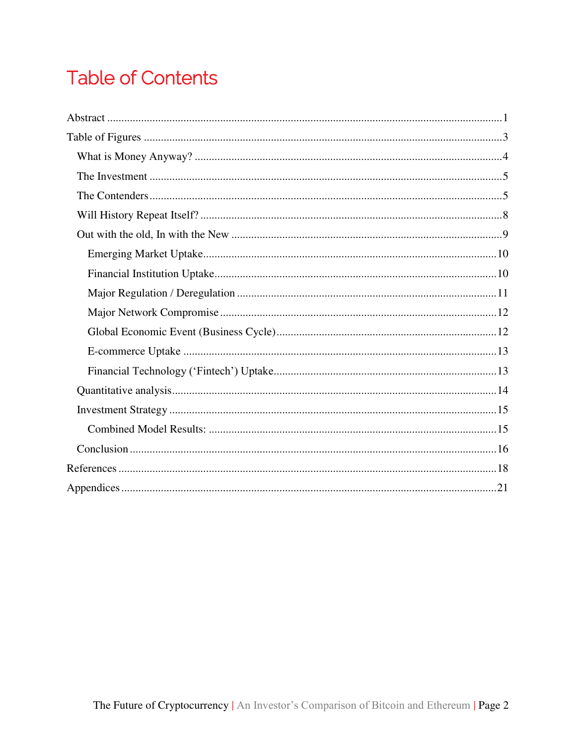# **Table of Contents**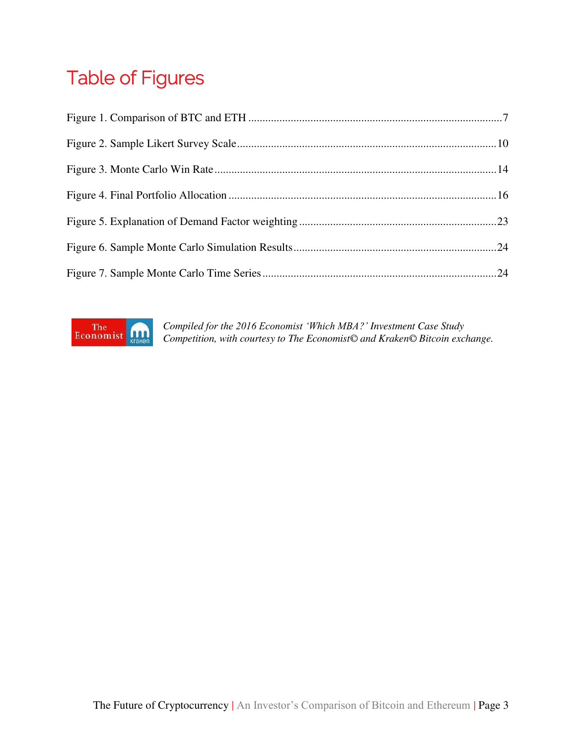# <span id="page-3-0"></span>Table of Figures



*Compiled for the 2016 Economist 'Which MBA?' Investment Case Study Competition, with courtesy to The Economist© and Kraken© Bitcoin exchange.*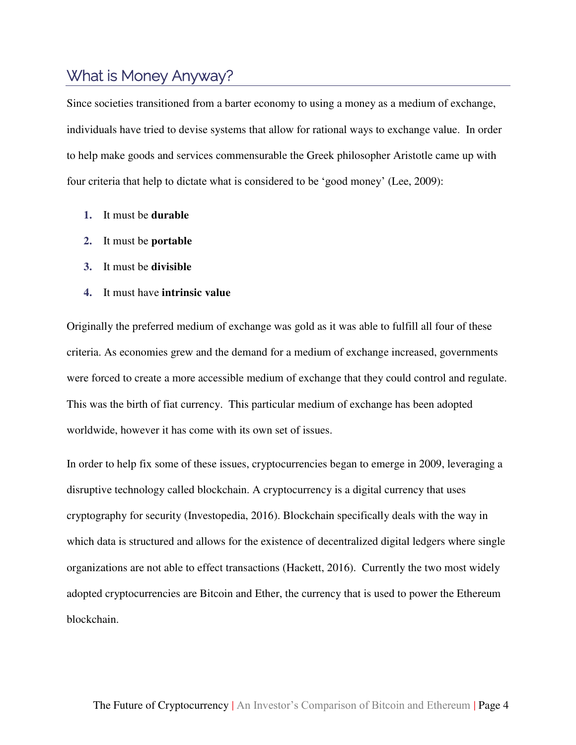# <span id="page-4-0"></span>What is Money Anyway?

Since societies transitioned from a barter economy to using a money as a medium of exchange, individuals have tried to devise systems that allow for rational ways to exchange value. In order to help make goods and services commensurable the Greek philosopher Aristotle came up with four criteria that help to dictate what is considered to be 'good money' (Lee, 2009):

- **1.** It must be **durable**
- **2.** It must be **portable**
- **3.** It must be **divisible**
- **4.** It must have **intrinsic value**

Originally the preferred medium of exchange was gold as it was able to fulfill all four of these criteria. As economies grew and the demand for a medium of exchange increased, governments were forced to create a more accessible medium of exchange that they could control and regulate. This was the birth of fiat currency. This particular medium of exchange has been adopted worldwide, however it has come with its own set of issues.

In order to help fix some of these issues, cryptocurrencies began to emerge in 2009, leveraging a disruptive technology called blockchain. A cryptocurrency is a digital currency that uses cryptography for security (Investopedia, 2016). Blockchain specifically deals with the way in which data is structured and allows for the existence of decentralized digital ledgers where single organizations are not able to effect transactions (Hackett, 2016). Currently the two most widely adopted cryptocurrencies are Bitcoin and Ether, the currency that is used to power the Ethereum blockchain.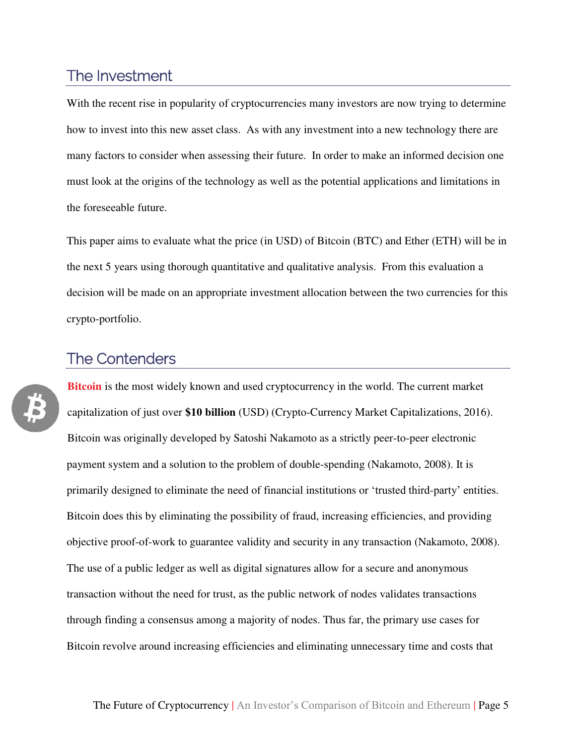# <span id="page-5-1"></span><span id="page-5-0"></span>The Investment

With the recent rise in popularity of cryptocurrencies many investors are now trying to determine how to invest into this new asset class. As with any investment into a new technology there are many factors to consider when assessing their future. In order to make an informed decision one must look at the origins of the technology as well as the potential applications and limitations in the foreseeable future.

This paper aims to evaluate what the price (in USD) of Bitcoin (BTC) and Ether (ETH) will be in the next 5 years using thorough quantitative and qualitative analysis. From this evaluation a decision will be made on an appropriate investment allocation between the two currencies for this crypto-portfolio.

#### The Contenders

**Bitcoin** is the most widely known and used cryptocurrency in the world. The current market capitalization of just over **\$10 billion** (USD) (Crypto-Currency Market Capitalizations, 2016). Bitcoin was originally developed by Satoshi Nakamoto as a strictly peer-to-peer electronic payment system and a solution to the problem of double-spending (Nakamoto, 2008). It is primarily designed to eliminate the need of financial institutions or 'trusted third-party' entities. Bitcoin does this by eliminating the possibility of fraud, increasing efficiencies, and providing objective proof-of-work to guarantee validity and security in any transaction (Nakamoto, 2008). The use of a public ledger as well as digital signatures allow for a secure and anonymous transaction without the need for trust, as the public network of nodes validates transactions through finding a consensus among a majority of nodes. Thus far, the primary use cases for Bitcoin revolve around increasing efficiencies and eliminating unnecessary time and costs that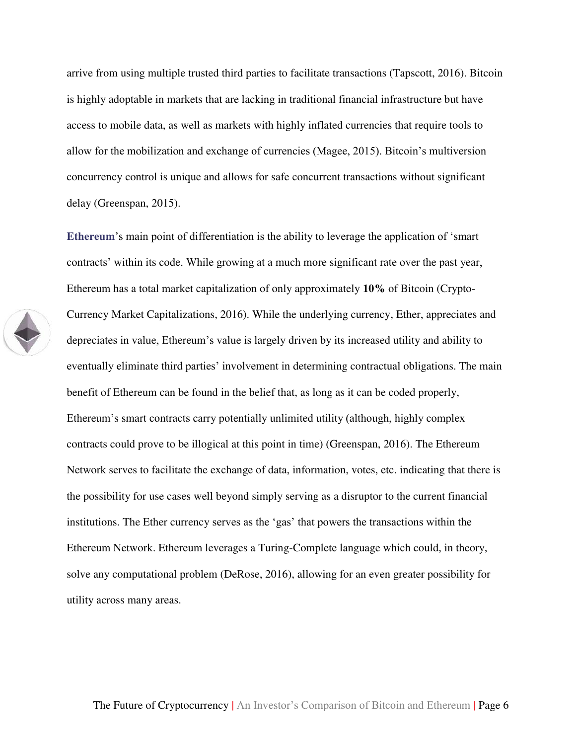arrive from using multiple trusted third parties to facilitate transactions (Tapscott, 2016). Bitcoin is highly adoptable in markets that are lacking in traditional financial infrastructure but have access to mobile data, as well as markets with highly inflated currencies that require tools to allow for the mobilization and exchange of currencies (Magee, 2015). Bitcoin's multiversion concurrency control is unique and allows for safe concurrent transactions without significant delay (Greenspan, 2015).

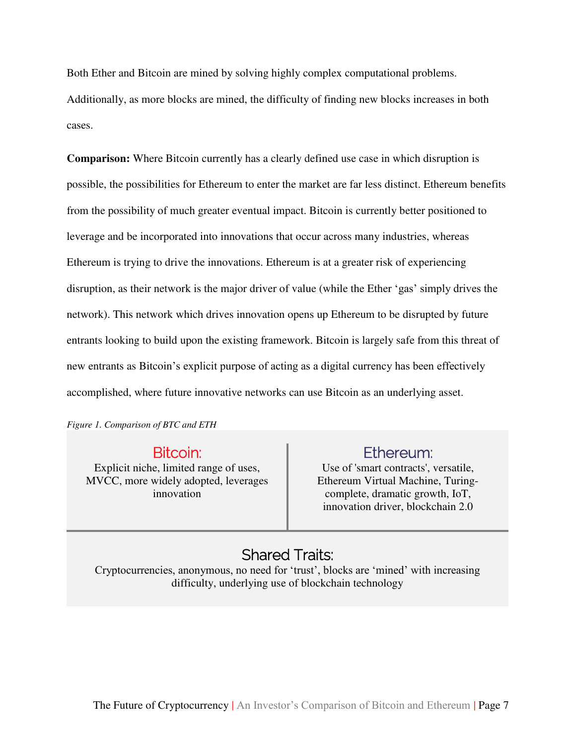Both Ether and Bitcoin are mined by solving highly complex computational problems. Additionally, as more blocks are mined, the difficulty of finding new blocks increases in both cases.

**Comparison:** Where Bitcoin currently has a clearly defined use case in which disruption is possible, the possibilities for Ethereum to enter the market are far less distinct. Ethereum benefits from the possibility of much greater eventual impact. Bitcoin is currently better positioned to leverage and be incorporated into innovations that occur across many industries, whereas Ethereum is trying to drive the innovations. Ethereum is at a greater risk of experiencing disruption, as their network is the major driver of value (while the Ether 'gas' simply drives the network). This network which drives innovation opens up Ethereum to be disrupted by future entrants looking to build upon the existing framework. Bitcoin is largely safe from this threat of new entrants as Bitcoin's explicit purpose of acting as a digital currency has been effectively accomplished, where future innovative networks can use Bitcoin as an underlying asset.

<span id="page-7-0"></span>*Figure 1. Comparison of BTC and ETH* 

Bitcoin:

Explicit niche, limited range of uses, MVCC, more widely adopted, leverages innovation

#### Ethereum:

Use of 'smart contracts', versatile, Ethereum Virtual Machine, Turingcomplete, dramatic growth, IoT, innovation driver, blockchain 2.0

# Shared Traits:

Cryptocurrencies, anonymous, no need for 'trust', blocks are 'mined' with increasing difficulty, underlying use of blockchain technology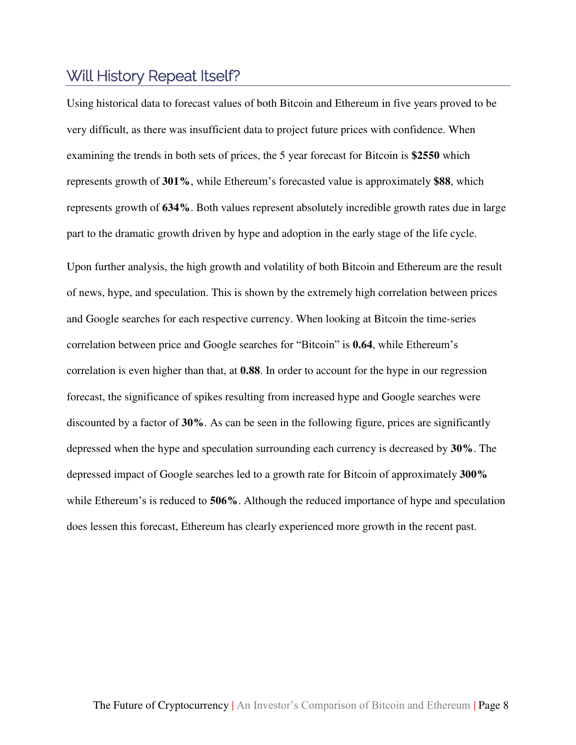# <span id="page-8-0"></span>Will History Repeat Itself?

Using historical data to forecast values of both Bitcoin and Ethereum in five years proved to be very difficult, as there was insufficient data to project future prices with confidence. When examining the trends in both sets of prices, the 5 year forecast for Bitcoin is **\$2550** which represents growth of **301%**, while Ethereum's forecasted value is approximately **\$88**, which represents growth of **634%**. Both values represent absolutely incredible growth rates due in large part to the dramatic growth driven by hype and adoption in the early stage of the life cycle.

Upon further analysis, the high growth and volatility of both Bitcoin and Ethereum are the result of news, hype, and speculation. This is shown by the extremely high correlation between prices and Google searches for each respective currency. When looking at Bitcoin the time-series correlation between price and Google searches for "Bitcoin" is **0.64**, while Ethereum's correlation is even higher than that, at **0.88**. In order to account for the hype in our regression forecast, the significance of spikes resulting from increased hype and Google searches were discounted by a factor of **30%**. As can be seen in the following figure, prices are significantly depressed when the hype and speculation surrounding each currency is decreased by **30%**. The depressed impact of Google searches led to a growth rate for Bitcoin of approximately **300%** while Ethereum's is reduced to **506%**. Although the reduced importance of hype and speculation does lessen this forecast, Ethereum has clearly experienced more growth in the recent past.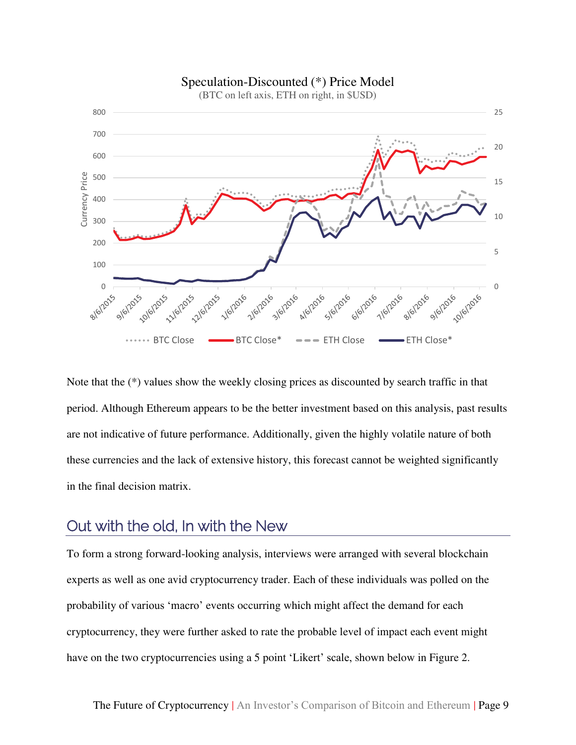

Note that the (\*) values show the weekly closing prices as discounted by search traffic in that period. Although Ethereum appears to be the better investment based on this analysis, past results are not indicative of future performance. Additionally, given the highly volatile nature of both these currencies and the lack of extensive history, this forecast cannot be weighted significantly in the final decision matrix.

## <span id="page-9-0"></span>Out with the old, In with the New

To form a strong forward-looking analysis, interviews were arranged with several blockchain experts as well as one avid cryptocurrency trader. Each of these individuals was polled on the probability of various 'macro' events occurring which might affect the demand for each cryptocurrency, they were further asked to rate the probable level of impact each event might have on the two cryptocurrencies using a 5 point 'Likert' scale, shown below in [Figure 2.](#page-10-2)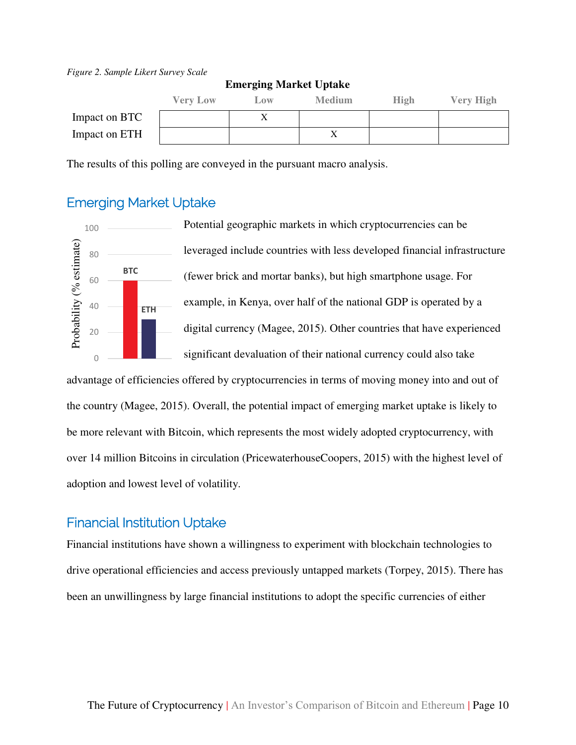#### <span id="page-10-2"></span>*Figure 2. Sample Likert Survey Scale*

|               | <b>Very Low</b> | Low | <b>Medium</b> | <b>High</b> | <b>Very High</b> |
|---------------|-----------------|-----|---------------|-------------|------------------|
| Impact on BTC |                 |     |               |             |                  |
| Impact on ETH |                 |     |               |             |                  |

#### **Emerging Market Uptake**

The results of this polling are conveyed in the pursuant macro analysis.

#### <span id="page-10-0"></span>Emerging Market Uptake



Potential geographic markets in which cryptocurrencies can be leveraged include countries with less developed financial infrastructure (fewer brick and mortar banks), but high smartphone usage. For example, in Kenya, over half of the national GDP is operated by a digital currency (Magee, 2015). Other countries that have experienced significant devaluation of their national currency could also take

advantage of efficiencies offered by cryptocurrencies in terms of moving money into and out of the country (Magee, 2015). Overall, the potential impact of emerging market uptake is likely to be more relevant with Bitcoin, which represents the most widely adopted cryptocurrency, with over 14 million Bitcoins in circulation (PricewaterhouseCoopers, 2015) with the highest level of adoption and lowest level of volatility.

#### <span id="page-10-1"></span>Financial Institution Uptake

Financial institutions have shown a willingness to experiment with blockchain technologies to drive operational efficiencies and access previously untapped markets (Torpey, 2015). There has been an unwillingness by large financial institutions to adopt the specific currencies of either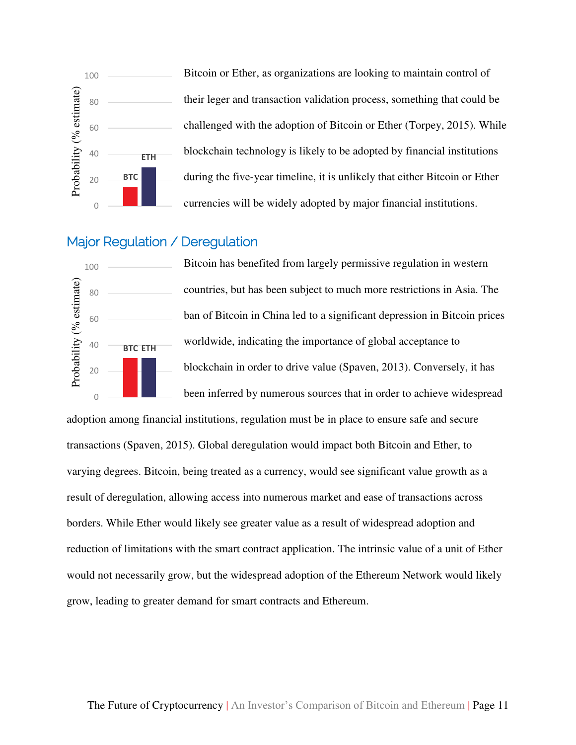

Bitcoin or Ether, as organizations are looking to maintain control of their leger and transaction validation process, something that could be challenged with the adoption of Bitcoin or Ether (Torpey, 2015). While blockchain technology is likely to be adopted by financial institutions during the five-year timeline, it is unlikely that either Bitcoin or Ether currencies will be widely adopted by major financial institutions.

#### <span id="page-11-0"></span>Major Regulation / Deregulation



Bitcoin has benefited from largely permissive regulation in western countries, but has been subject to much more restrictions in Asia. The ban of Bitcoin in China led to a significant depression in Bitcoin prices worldwide, indicating the importance of global acceptance to blockchain in order to drive value (Spaven, 2013). Conversely, it has been inferred by numerous sources that in order to achieve widespread

adoption among financial institutions, regulation must be in place to ensure safe and secure transactions (Spaven, 2015). Global deregulation would impact both Bitcoin and Ether, to varying degrees. Bitcoin, being treated as a currency, would see significant value growth as a result of deregulation, allowing access into numerous market and ease of transactions across borders. While Ether would likely see greater value as a result of widespread adoption and reduction of limitations with the smart contract application. The intrinsic value of a unit of Ether would not necessarily grow, but the widespread adoption of the Ethereum Network would likely grow, leading to greater demand for smart contracts and Ethereum.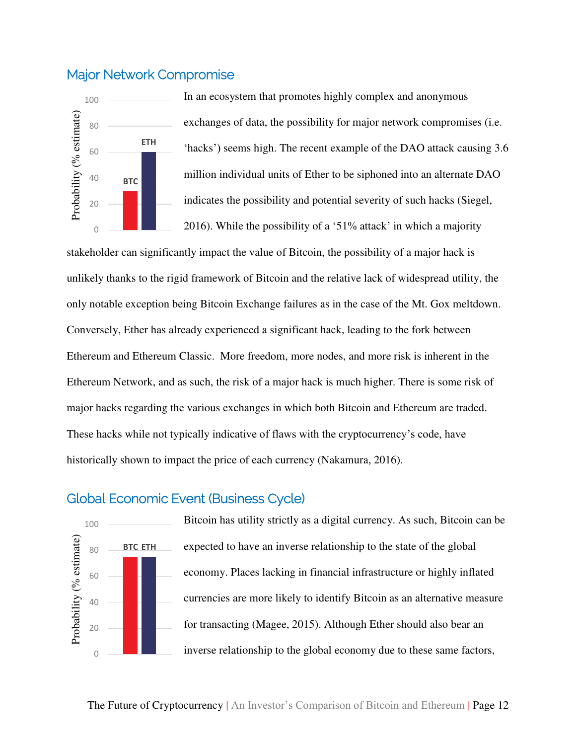#### <span id="page-12-0"></span>Major Network Compromise



In an ecosystem that promotes highly complex and anonymous exchanges of data, the possibility for major network compromises (i.e. 'hacks') seems high. The recent example of the DAO attack causing 3.6 million individual units of Ether to be siphoned into an alternate DAO indicates the possibility and potential severity of such hacks (Siegel, 2016). While the possibility of a '51% attack' in which a majority

stakeholder can significantly impact the value of Bitcoin, the possibility of a major hack is unlikely thanks to the rigid framework of Bitcoin and the relative lack of widespread utility, the only notable exception being Bitcoin Exchange failures as in the case of the Mt. Gox meltdown. Conversely, Ether has already experienced a significant hack, leading to the fork between Ethereum and Ethereum Classic. More freedom, more nodes, and more risk is inherent in the Ethereum Network, and as such, the risk of a major hack is much higher. There is some risk of major hacks regarding the various exchanges in which both Bitcoin and Ethereum are traded. These hacks while not typically indicative of flaws with the cryptocurrency's code, have historically shown to impact the price of each currency (Nakamura, 2016).

#### <span id="page-12-1"></span>Global Economic Event (Business Cycle)



Bitcoin has utility strictly as a digital currency. As such, Bitcoin can be expected to have an inverse relationship to the state of the global economy. Places lacking in financial infrastructure or highly inflated currencies are more likely to identify Bitcoin as an alternative measure for transacting (Magee, 2015). Although Ether should also bear an inverse relationship to the global economy due to these same factors,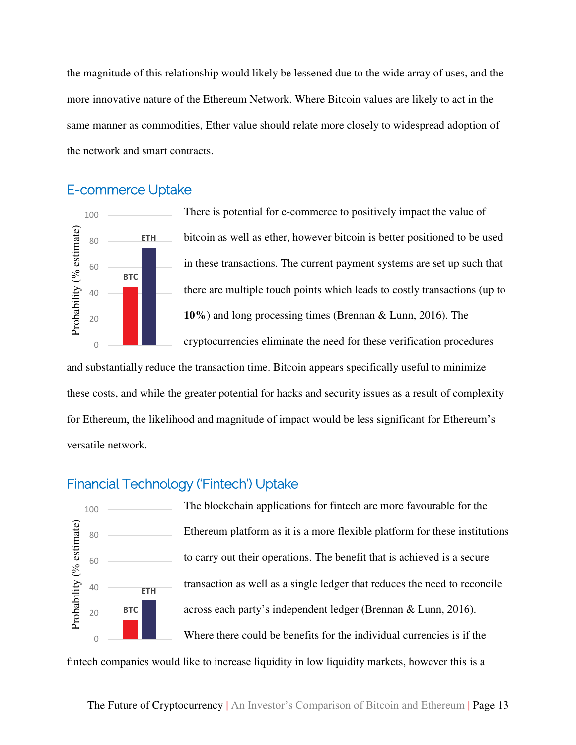the magnitude of this relationship would likely be lessened due to the wide array of uses, and the more innovative nature of the Ethereum Network. Where Bitcoin values are likely to act in the same manner as commodities, Ether value should relate more closely to widespread adoption of the network and smart contracts.

#### <span id="page-13-0"></span>E-commerce Uptake



There is potential for e-commerce to positively impact the value of bitcoin as well as ether, however bitcoin is better positioned to be used in these transactions. The current payment systems are set up such that there are multiple touch points which leads to costly transactions (up to **10%**) and long processing times (Brennan & Lunn, 2016). The cryptocurrencies eliminate the need for these verification procedures

and substantially reduce the transaction time. Bitcoin appears specifically useful to minimize these costs, and while the greater potential for hacks and security issues as a result of complexity for Ethereum, the likelihood and magnitude of impact would be less significant for Ethereum's versatile network.

#### <span id="page-13-1"></span>Financial Technology ('Fintech') Uptake



The blockchain applications for fintech are more favourable for the Ethereum platform as it is a more flexible platform for these institutions to carry out their operations. The benefit that is achieved is a secure transaction as well as a single ledger that reduces the need to reconcile across each party's independent ledger (Brennan & Lunn, 2016). Where there could be benefits for the individual currencies is if the

fintech companies would like to increase liquidity in low liquidity markets, however this is a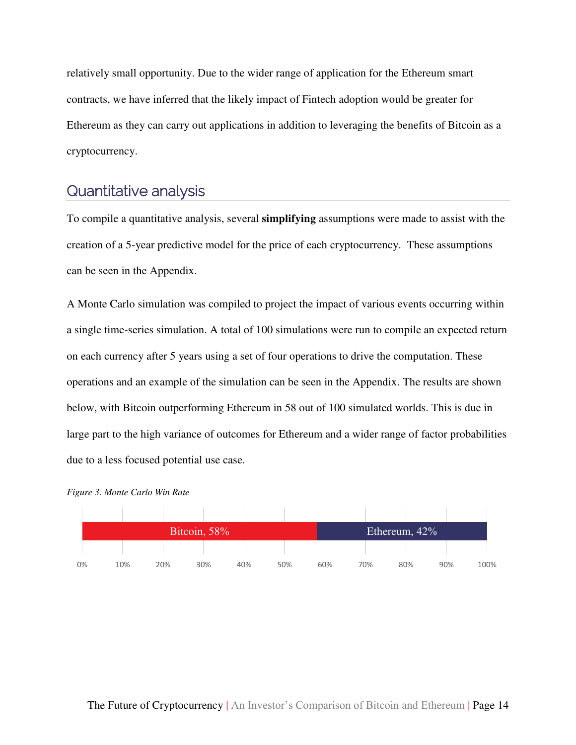relatively small opportunity. Due to the wider range of application for the Ethereum smart contracts, we have inferred that the likely impact of Fintech adoption would be greater for Ethereum as they can carry out applications in addition to leveraging the benefits of Bitcoin as a cryptocurrency.

### <span id="page-14-0"></span>Quantitative analysis

To compile a quantitative analysis, several **simplifying** assumptions were made to assist with the creation of a 5-year predictive model for the price of each cryptocurrency. These assumptions can be seen in the Appendix.

A Monte Carlo simulation was compiled to project the impact of various events occurring within a single time-series simulation. A total of 100 simulations were run to compile an expected return on each currency after 5 years using a set of four operations to drive the computation. These operations and an example of the simulation can be seen in the Appendix. The results are shown below, with Bitcoin outperforming Ethereum in 58 out of 100 simulated worlds. This is due in large part to the high variance of outcomes for Ethereum and a wider range of factor probabilities due to a less focused potential use case.



<span id="page-14-1"></span>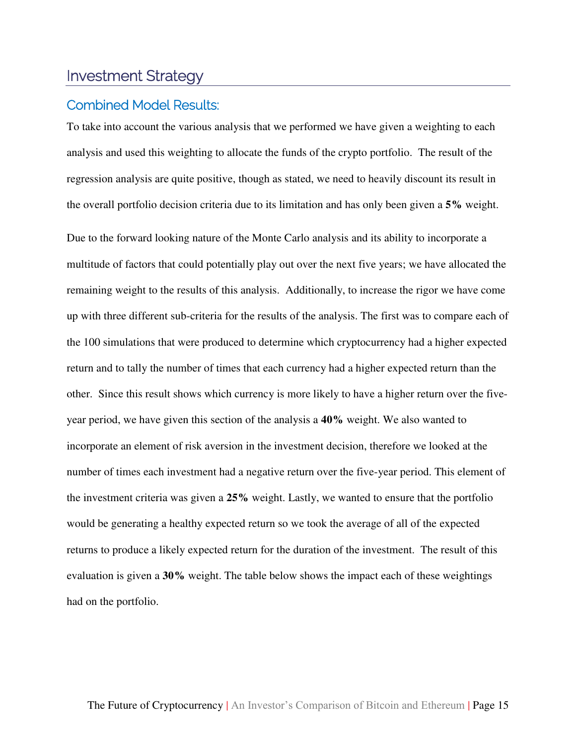## <span id="page-15-0"></span>Investment Strategy

#### <span id="page-15-1"></span>Combined Model Results:

To take into account the various analysis that we performed we have given a weighting to each analysis and used this weighting to allocate the funds of the crypto portfolio. The result of the regression analysis are quite positive, though as stated, we need to heavily discount its result in the overall portfolio decision criteria due to its limitation and has only been given a **5%** weight.

Due to the forward looking nature of the Monte Carlo analysis and its ability to incorporate a multitude of factors that could potentially play out over the next five years; we have allocated the remaining weight to the results of this analysis. Additionally, to increase the rigor we have come up with three different sub-criteria for the results of the analysis. The first was to compare each of the 100 simulations that were produced to determine which cryptocurrency had a higher expected return and to tally the number of times that each currency had a higher expected return than the other. Since this result shows which currency is more likely to have a higher return over the fiveyear period, we have given this section of the analysis a **40%** weight. We also wanted to incorporate an element of risk aversion in the investment decision, therefore we looked at the number of times each investment had a negative return over the five-year period. This element of the investment criteria was given a **25%** weight. Lastly, we wanted to ensure that the portfolio would be generating a healthy expected return so we took the average of all of the expected returns to produce a likely expected return for the duration of the investment. The result of this evaluation is given a **30%** weight. The table below shows the impact each of these weightings had on the portfolio.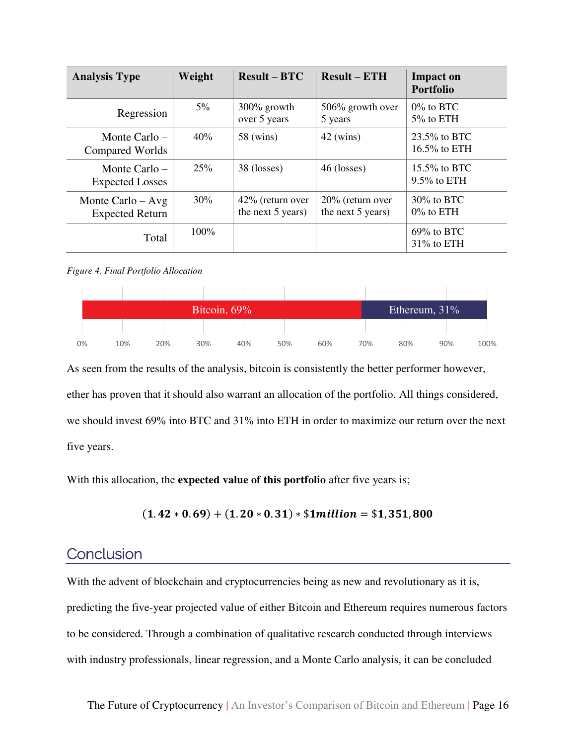| <b>Analysis Type</b>                          | Weight  | $Result - BTC$                           | $Result - ETH$                           | <b>Impact on</b><br><b>Portfolio</b> |
|-----------------------------------------------|---------|------------------------------------------|------------------------------------------|--------------------------------------|
| Regression                                    | $5\%$   | $300\%$ growth<br>over 5 years           | 506% growth over<br>5 years              | $0\%$ to BTC<br>5% to ETH            |
| Monte Carlo $-$<br>Compared Worlds            | 40%     | 58 (wins)                                | $42$ (wins)                              | $23.5\%$ to BTC<br>$16.5\%$ to ETH   |
| Monte Carlo $-$<br><b>Expected Losses</b>     | 25%     | 38 (losses)                              | 46 (losses)                              | $15.5\%$ to BTC<br>$9.5\%$ to ETH    |
| Monte Carlo $-$ Avg<br><b>Expected Return</b> | 30%     | $42\%$ (return over<br>the next 5 years) | $20\%$ (return over<br>the next 5 years) | $30\%$ to BTC<br>$0\%$ to ETH        |
| Total                                         | $100\%$ |                                          |                                          | $69\%$ to BTC<br>$31\%$ to ETH       |

#### <span id="page-16-1"></span>*Figure 4. Final Portfolio Allocation*

|    |     |     |     | Ethereum, $31\%$ |     |     |     |     |     |      |
|----|-----|-----|-----|------------------|-----|-----|-----|-----|-----|------|
|    |     |     |     |                  |     |     |     |     |     |      |
| 0% | 10% | 20% | 30% | 40%              | 50% | 60% | 70% | 80% | 90% | 100% |

As seen from the results of the analysis, bitcoin is consistently the better performer however, ether has proven that it should also warrant an allocation of the portfolio. All things considered, we should invest 69% into BTC and 31% into ETH in order to maximize our return over the next five years.

With this allocation, the **expected value of this portfolio** after five years is;

$$
(1.42 * 0.69) + (1.20 * 0.31) * $1 million = $1,351,800
$$

### <span id="page-16-0"></span>**Conclusion**

With the advent of blockchain and cryptocurrencies being as new and revolutionary as it is, predicting the five-year projected value of either Bitcoin and Ethereum requires numerous factors to be considered. Through a combination of qualitative research conducted through interviews with industry professionals, linear regression, and a Monte Carlo analysis, it can be concluded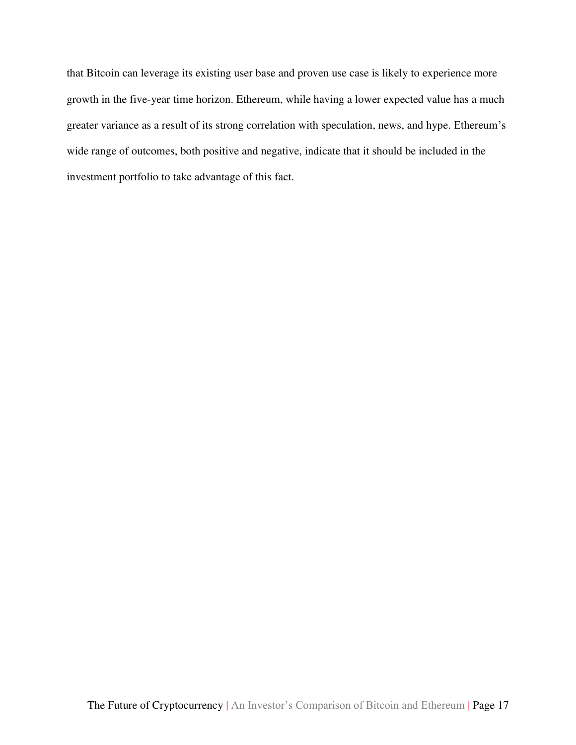that Bitcoin can leverage its existing user base and proven use case is likely to experience more growth in the five-year time horizon. Ethereum, while having a lower expected value has a much greater variance as a result of its strong correlation with speculation, news, and hype. Ethereum's wide range of outcomes, both positive and negative, indicate that it should be included in the investment portfolio to take advantage of this fact.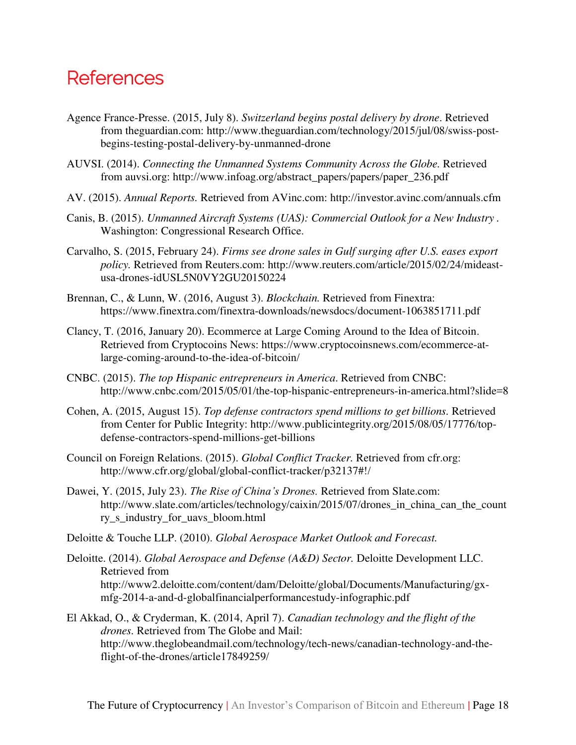# <span id="page-18-0"></span>**References**

- Agence France-Presse. (2015, July 8). *Switzerland begins postal delivery by drone*. Retrieved from theguardian.com: http://www.theguardian.com/technology/2015/jul/08/swiss-postbegins-testing-postal-delivery-by-unmanned-drone
- AUVSI. (2014). *Connecting the Unmanned Systems Community Across the Globe.* Retrieved from auvsi.org: http://www.infoag.org/abstract\_papers/papers/paper\_236.pdf
- AV. (2015). *Annual Reports.* Retrieved from AVinc.com: http://investor.avinc.com/annuals.cfm
- Canis, B. (2015). *Unmanned Aircraft Systems (UAS): Commercial Outlook for a New Industry .* Washington: Congressional Research Office.
- Carvalho, S. (2015, February 24). *Firms see drone sales in Gulf surging after U.S. eases export policy.* Retrieved from Reuters.com: http://www.reuters.com/article/2015/02/24/mideastusa-drones-idUSL5N0VY2GU20150224
- Brennan, C., & Lunn, W. (2016, August 3). *Blockchain.* Retrieved from Finextra: https://www.finextra.com/finextra-downloads/newsdocs/document-1063851711.pdf
- Clancy, T. (2016, January 20). Ecommerce at Large Coming Around to the Idea of Bitcoin. Retrieved from Cryptocoins News: https://www.cryptocoinsnews.com/ecommerce-atlarge-coming-around-to-the-idea-of-bitcoin/
- CNBC. (2015). *The top Hispanic entrepreneurs in America*. Retrieved from CNBC: http://www.cnbc.com/2015/05/01/the-top-hispanic-entrepreneurs-in-america.html?slide=8
- Cohen, A. (2015, August 15). *Top defense contractors spend millions to get billions.* Retrieved from Center for Public Integrity: http://www.publicintegrity.org/2015/08/05/17776/topdefense-contractors-spend-millions-get-billions
- Council on Foreign Relations. (2015). *Global Conflict Tracker.* Retrieved from cfr.org: http://www.cfr.org/global/global-conflict-tracker/p32137#!/
- Dawei, Y. (2015, July 23). *The Rise of China's Drones.* Retrieved from Slate.com: http://www.slate.com/articles/technology/caixin/2015/07/drones\_in\_china\_can\_the\_count ry\_s\_industry\_for\_uavs\_bloom.html
- Deloitte & Touche LLP. (2010). *Global Aerospace Market Outlook and Forecast.*
- Deloitte. (2014). *Global Aerospace and Defense (A&D) Sector.* Deloitte Development LLC. Retrieved from http://www2.deloitte.com/content/dam/Deloitte/global/Documents/Manufacturing/gxmfg-2014-a-and-d-globalfinancialperformancestudy-infographic.pdf
- El Akkad, O., & Cryderman, K. (2014, April 7). *Canadian technology and the flight of the drones.* Retrieved from The Globe and Mail: http://www.theglobeandmail.com/technology/tech-news/canadian-technology-and-theflight-of-the-drones/article17849259/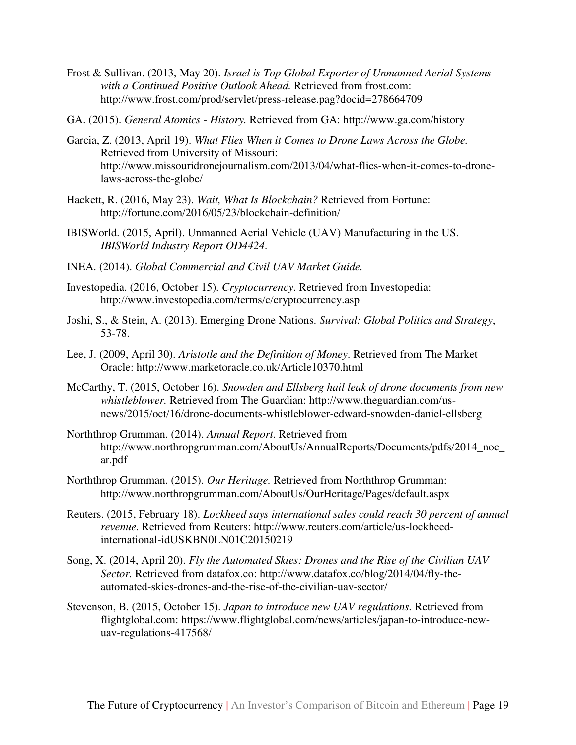Frost & Sullivan. (2013, May 20). *Israel is Top Global Exporter of Unmanned Aerial Systems with a Continued Positive Outlook Ahead.* Retrieved from frost.com: http://www.frost.com/prod/servlet/press-release.pag?docid=278664709

GA. (2015). *General Atomics - History.* Retrieved from GA: http://www.ga.com/history

- Garcia, Z. (2013, April 19). *What Flies When it Comes to Drone Laws Across the Globe.* Retrieved from University of Missouri: http://www.missouridronejournalism.com/2013/04/what-flies-when-it-comes-to-dronelaws-across-the-globe/
- Hackett, R. (2016, May 23). *Wait, What Is Blockchain?* Retrieved from Fortune: http://fortune.com/2016/05/23/blockchain-definition/
- IBISWorld. (2015, April). Unmanned Aerial Vehicle (UAV) Manufacturing in the US. *IBISWorld Industry Report OD4424*.
- INEA. (2014). *Global Commercial and Civil UAV Market Guide.*
- Investopedia. (2016, October 15). *Cryptocurrency*. Retrieved from Investopedia: http://www.investopedia.com/terms/c/cryptocurrency.asp
- Joshi, S., & Stein, A. (2013). Emerging Drone Nations. *Survival: Global Politics and Strategy*, 53-78.
- Lee, J. (2009, April 30). *Aristotle and the Definition of Money*. Retrieved from The Market Oracle: http://www.marketoracle.co.uk/Article10370.html
- McCarthy, T. (2015, October 16). *Snowden and Ellsberg hail leak of drone documents from new whistleblower.* Retrieved from The Guardian: http://www.theguardian.com/usnews/2015/oct/16/drone-documents-whistleblower-edward-snowden-daniel-ellsberg
- Norththrop Grumman. (2014). *Annual Report*. Retrieved from http://www.northropgrumman.com/AboutUs/AnnualReports/Documents/pdfs/2014\_noc\_ ar.pdf
- Norththrop Grumman. (2015). *Our Heritage.* Retrieved from Norththrop Grumman: http://www.northropgrumman.com/AboutUs/OurHeritage/Pages/default.aspx
- Reuters. (2015, February 18). *Lockheed says international sales could reach 30 percent of annual revenue*. Retrieved from Reuters: http://www.reuters.com/article/us-lockheedinternational-idUSKBN0LN01C20150219
- Song, X. (2014, April 20). *Fly the Automated Skies: Drones and the Rise of the Civilian UAV Sector.* Retrieved from datafox.co: http://www.datafox.co/blog/2014/04/fly-theautomated-skies-drones-and-the-rise-of-the-civilian-uav-sector/
- Stevenson, B. (2015, October 15). *Japan to introduce new UAV regulations.* Retrieved from flightglobal.com: https://www.flightglobal.com/news/articles/japan-to-introduce-newuav-regulations-417568/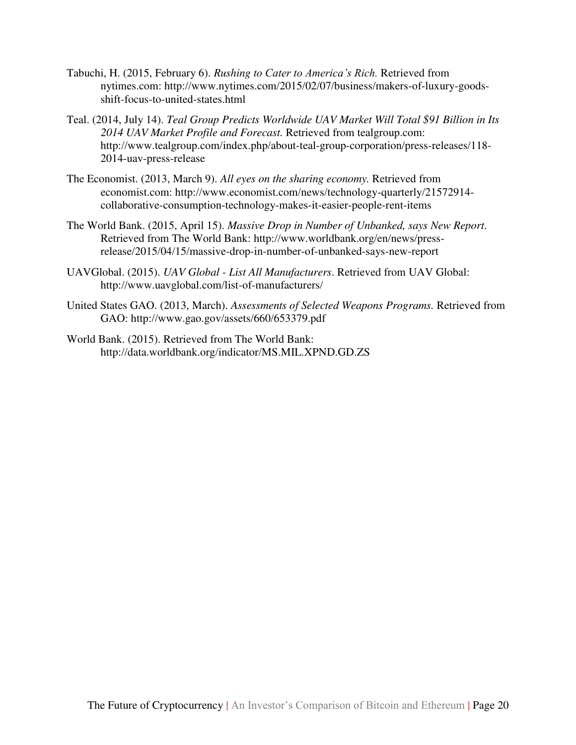- Tabuchi, H. (2015, February 6). *Rushing to Cater to America's Rich.* Retrieved from nytimes.com: http://www.nytimes.com/2015/02/07/business/makers-of-luxury-goodsshift-focus-to-united-states.html
- Teal. (2014, July 14). *Teal Group Predicts Worldwide UAV Market Will Total \$91 Billion in Its 2014 UAV Market Profile and Forecast.* Retrieved from tealgroup.com: http://www.tealgroup.com/index.php/about-teal-group-corporation/press-releases/118- 2014-uav-press-release
- The Economist. (2013, March 9). *All eyes on the sharing economy.* Retrieved from economist.com: http://www.economist.com/news/technology-quarterly/21572914 collaborative-consumption-technology-makes-it-easier-people-rent-items
- The World Bank. (2015, April 15). *Massive Drop in Number of Unbanked, says New Report*. Retrieved from The World Bank: http://www.worldbank.org/en/news/pressrelease/2015/04/15/massive-drop-in-number-of-unbanked-says-new-report
- UAVGlobal. (2015). *UAV Global List All Manufacturers*. Retrieved from UAV Global: http://www.uavglobal.com/list-of-manufacturers/
- United States GAO. (2013, March). *Assessments of Selected Weapons Programs.* Retrieved from GAO: http://www.gao.gov/assets/660/653379.pdf
- World Bank. (2015). Retrieved from The World Bank: http://data.worldbank.org/indicator/MS.MIL.XPND.GD.ZS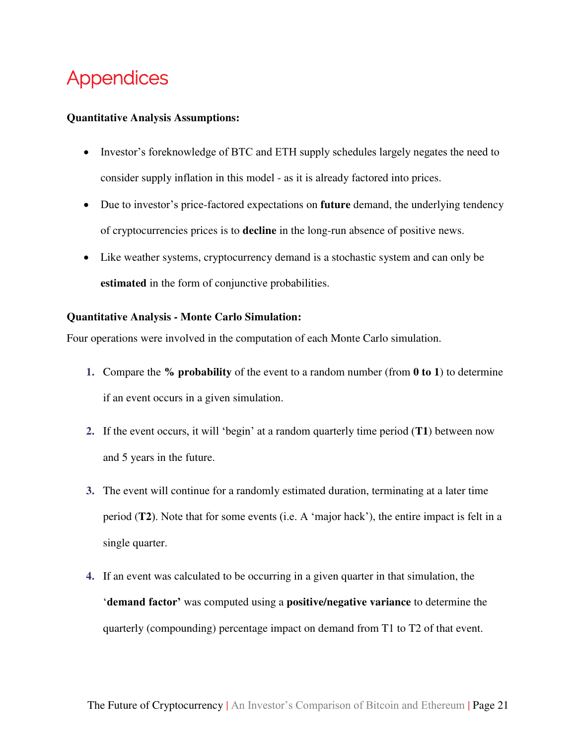# <span id="page-21-0"></span>Appendices

#### **Quantitative Analysis Assumptions:**

- Investor's foreknowledge of BTC and ETH supply schedules largely negates the need to consider supply inflation in this model - as it is already factored into prices.
- Due to investor's price-factored expectations on **future** demand, the underlying tendency of cryptocurrencies prices is to **decline** in the long-run absence of positive news.
- Like weather systems, cryptocurrency demand is a stochastic system and can only be **estimated** in the form of conjunctive probabilities.

#### **Quantitative Analysis - Monte Carlo Simulation:**

Four operations were involved in the computation of each Monte Carlo simulation.

- **1.** Compare the **% probability** of the event to a random number (from **0 to 1**) to determine if an event occurs in a given simulation.
- **2.** If the event occurs, it will 'begin' at a random quarterly time period (**T1**) between now and 5 years in the future.
- **3.** The event will continue for a randomly estimated duration, terminating at a later time period (**T2**). Note that for some events (i.e. A 'major hack'), the entire impact is felt in a single quarter.
- **4.** If an event was calculated to be occurring in a given quarter in that simulation, the '**demand factor'** was computed using a **positive/negative variance** to determine the quarterly (compounding) percentage impact on demand from T1 to T2 of that event.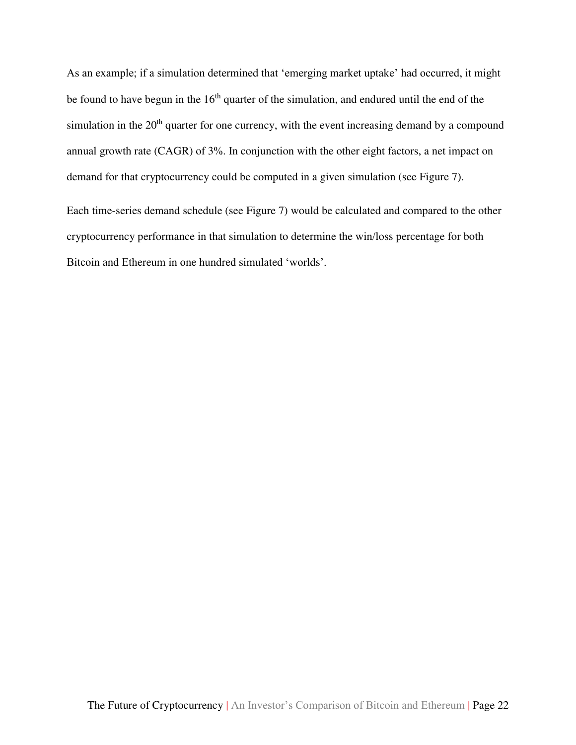As an example; if a simulation determined that 'emerging market uptake' had occurred, it might be found to have begun in the  $16<sup>th</sup>$  quarter of the simulation, and endured until the end of the simulation in the  $20<sup>th</sup>$  quarter for one currency, with the event increasing demand by a compound annual growth rate (CAGR) of 3%. In conjunction with the other eight factors, a net impact on demand for that cryptocurrency could be computed in a given simulation (see [Figure 7\)](#page-24-1).

Each time-series demand schedule (see [Figure 7\)](#page-24-1) would be calculated and compared to the other cryptocurrency performance in that simulation to determine the win/loss percentage for both Bitcoin and Ethereum in one hundred simulated 'worlds'.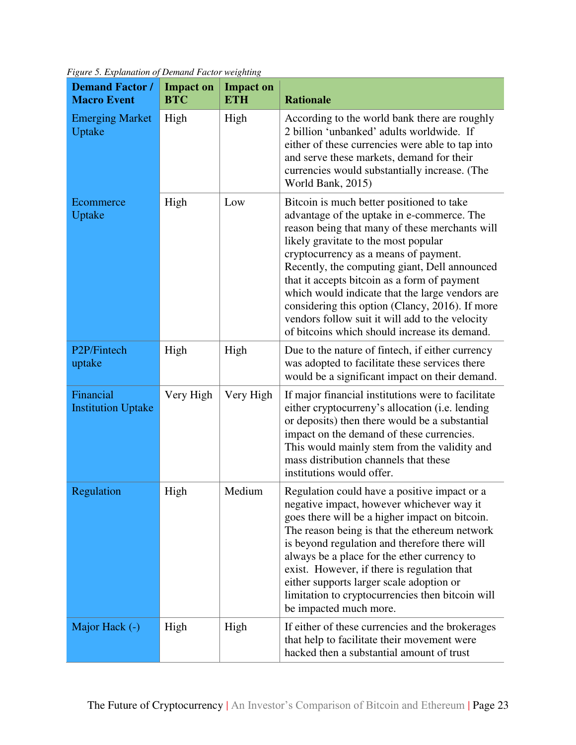| <b>Demand Factor /</b><br><b>Macro Event</b> | <b>Impact on</b><br><b>BTC</b> | <b>Impact on</b><br><b>ETH</b> | <b>Rationale</b>                                                                                                                                                                                                                                                                                                                                                                                                                                                                                                                      |
|----------------------------------------------|--------------------------------|--------------------------------|---------------------------------------------------------------------------------------------------------------------------------------------------------------------------------------------------------------------------------------------------------------------------------------------------------------------------------------------------------------------------------------------------------------------------------------------------------------------------------------------------------------------------------------|
| <b>Emerging Market</b><br>Uptake             | High                           | High                           | According to the world bank there are roughly<br>2 billion 'unbanked' adults worldwide. If<br>either of these currencies were able to tap into<br>and serve these markets, demand for their<br>currencies would substantially increase. (The<br>World Bank, 2015)                                                                                                                                                                                                                                                                     |
| Ecommerce<br>Uptake                          | High                           | Low                            | Bitcoin is much better positioned to take<br>advantage of the uptake in e-commerce. The<br>reason being that many of these merchants will<br>likely gravitate to the most popular<br>cryptocurrency as a means of payment.<br>Recently, the computing giant, Dell announced<br>that it accepts bitcoin as a form of payment<br>which would indicate that the large vendors are<br>considering this option (Clancy, 2016). If more<br>vendors follow suit it will add to the velocity<br>of bitcoins which should increase its demand. |
| P2P/Fintech<br>uptake                        | High                           | High                           | Due to the nature of fintech, if either currency<br>was adopted to facilitate these services there<br>would be a significant impact on their demand.                                                                                                                                                                                                                                                                                                                                                                                  |
| Financial<br><b>Institution Uptake</b>       | Very High                      | Very High                      | If major financial institutions were to facilitate<br>either cryptocurreny's allocation (i.e. lending<br>or deposits) then there would be a substantial<br>impact on the demand of these currencies.<br>This would mainly stem from the validity and<br>mass distribution channels that these<br>institutions would offer.                                                                                                                                                                                                            |
| Regulation                                   | High                           | Medium                         | Regulation could have a positive impact or a<br>negative impact, however whichever way it<br>goes there will be a higher impact on bitcoin.<br>The reason being is that the ethereum network<br>is beyond regulation and therefore there will<br>always be a place for the ether currency to<br>exist. However, if there is regulation that<br>either supports larger scale adoption or<br>limitation to cryptocurrencies then bitcoin will<br>be impacted much more.                                                                 |
| Major Hack (-)                               | High                           | High                           | If either of these currencies and the brokerages<br>that help to facilitate their movement were<br>hacked then a substantial amount of trust                                                                                                                                                                                                                                                                                                                                                                                          |

<span id="page-23-0"></span>*Figure 5. Explanation of Demand Factor weighting*